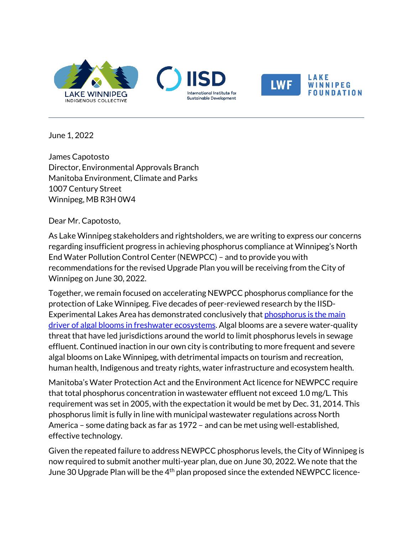







June 1, 2022

James Capotosto Director, Environmental Approvals Branch Manitoba Environment, Climate and Parks 1007 Century Street Winnipeg, MB R3H 0W4

Dear Mr. Capotosto,

As Lake Winnipeg stakeholders and rightsholders, we are writing to express our concerns regarding insufficient progress in achieving phosphorus compliance at Winnipeg's North End Water Pollution Control Center (NEWPCC) – and to provide you with recommendations for the revised Upgrade Plan you will be receiving from the City of Winnipeg on June 30, 2022.

Together, we remain focused on accelerating NEWPCC phosphorus compliance for the protection of Lake Winnipeg. Five decades of peer-reviewed research by the IISD-Experimental Lakes Area has demonstrated conclusively that phosphorus is the main [driver of algal blooms in freshwater ecosystems.](https://www.iisd.org/articles/press-release/reducing-how-much-nitrogen-enters-lake-has-little-impact-algal-blooms-find) Algal blooms are a severe water-quality threat that have led jurisdictions around the world to limit phosphorus levels in sewage effluent. Continued inaction in our own city is contributing to more frequent and severe algal blooms on Lake Winnipeg, with detrimental impacts on tourism and recreation, human health, Indigenous and treaty rights, water infrastructure and ecosystem health.

Manitoba's Water Protection Act and the Environment Act licence for NEWPCC require that total phosphorus concentration in wastewater effluent not exceed 1.0 mg/L. This requirement was set in 2005, with the expectation it would be met by Dec. 31, 2014. This phosphorus limit is fully in line with municipal wastewater regulations across North America – some dating back as far as 1972 – and can be met using well-established, effective technology.

Given the repeated failure to address NEWPCC phosphorus levels, the City of Winnipeg is now required to submit another multi-year plan, due on June 30, 2022. We note that the June 30 Upgrade Plan will be the 4<sup>th</sup> plan proposed since the extended NEWPCC licence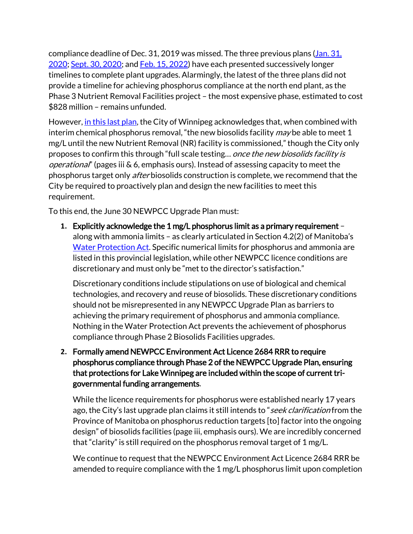compliance deadline of Dec. 31, 2019 was missed. The three previous plans [\(Jan. 31,](https://www.gov.mb.ca/sd/eal/registries/1071.1/2020131_psc_plans_newpcc.pdf)  [2020;](https://www.gov.mb.ca/sd/eal/registries/1071.1/2020131_psc_plans_newpcc.pdf) [Sept. 30, 2020;](https://www.gov.mb.ca/sd/eal/registries/1071.1/20200930_newpcc_upgrade_update.pdf) an[d Feb. 15, 2022\)](https://www.gov.mb.ca/sd/eal/registries/1071.1/20220215_rprt.pdf) have each presented successively longer timelines to complete plant upgrades. Alarmingly, the latest of the three plans did not provide a timeline for achieving phosphorus compliance at the north end plant, as the Phase 3 Nutrient Removal Facilities project – the most expensive phase, estimated to cost \$828 million – remains unfunded.

However[, in this last plan,](https://www.gov.mb.ca/sd/eal/registries/1071.1/20220215_rprt.pdf) the City of Winnipeg acknowledges that, when combined with interim chemical phosphorus removal, "the new biosolids facility  $m$ ay be able to meet 1 mg/L until the new Nutrient Removal (NR) facility is commissioned," though the City only proposes to confirm this through "full scale testing… once the new biosolids facility is operational" (pages iii & 6, emphasis ours). Instead of assessing capacity to meet the phosphorus target only *after* biosolids construction is complete, we recommend that the City be required to proactively plan and design the new facilities to meet this requirement.

To this end, the June 30 NEWPCC Upgrade Plan must:

**1.** Explicitly acknowledge the 1 mg/L phosphorus limit as a primary requirement – along with ammonia limits – as clearly articulated in Section 4.2(2) of Manitoba's [Water Protection Act.](https://web2.gov.mb.ca/laws/statutes/ccsm/w065e.php) Specific numerical limits for phosphorus and ammonia are listed in this provincial legislation, while other NEWPCC licence conditions are discretionary and must only be "met to the director's satisfaction."

Discretionary conditions include stipulations on use of biological and chemical technologies, and recovery and reuse of biosolids. These discretionary conditions should not be misrepresented in any NEWPCC Upgrade Plan as barriers to achieving the primary requirement of phosphorus and ammonia compliance. Nothing in the Water Protection Act prevents the achievement of phosphorus compliance through Phase 2 Biosolids Facilities upgrades.

**2.** Formally amend NEWPCC Environment Act Licence 2684 RRR to require phosphorus compliance through Phase 2 of the NEWPCC Upgrade Plan, ensuring that protections for Lake Winnipeg are included within the scope of current trigovernmental funding arrangements.

While the licence requirements for phosphorus were established nearly 17 years ago, the City's last upgrade plan claims it still intends to "seek clarification from the Province of Manitoba on phosphorus reduction targets [to] factor into the ongoing design" of biosolids facilities (page iii, emphasis ours). We are incredibly concerned that "clarity" is still required on the phosphorus removal target of 1 mg/L.

We continue to request that the NEWPCC Environment Act Licence 2684 RRR be amended to require compliance with the 1 mg/L phosphorus limit upon completion